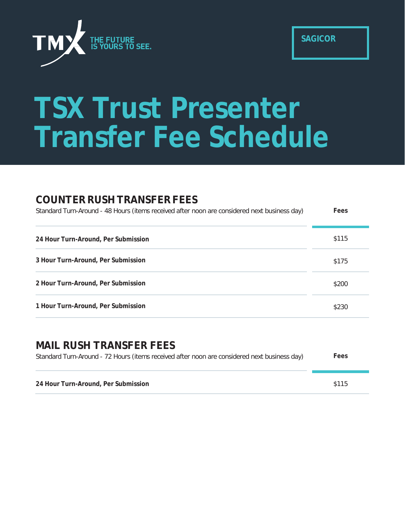

# **TSX Trust Presenter Transfer Fee Schedule**

### **COUNTER RUSHTRANSFER FEES**

| Standard Turn-Around - 48 Hours (items received after noon are considered next business day) | Fees  |
|----------------------------------------------------------------------------------------------|-------|
| 24 Hour Turn-Around, Per Submission                                                          | \$115 |
| 3 Hour Turn-Around, Per Submission                                                           | \$175 |
| 2 Hour Turn-Around, Per Submission                                                           | \$200 |
| 1 Hour Turn-Around, Per Submission                                                           | \$230 |

#### **MAIL RUSH TRANSFER FEES**

| Standard Turn-Around - 72 Hours (items received after noon are considered next business day) | Fees  |  |
|----------------------------------------------------------------------------------------------|-------|--|
| 24 Hour Turn-Around, Per Submission                                                          | \$115 |  |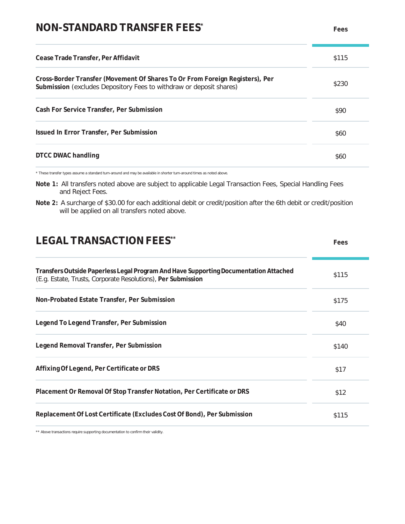#### **NON-STANDARD TRANSFER FEES\* Fees**

| Cease Trade Transfer, Per Affidavit                                                                                                                 | \$115 |
|-----------------------------------------------------------------------------------------------------------------------------------------------------|-------|
| Cross-Border Transfer (Movement Of Shares To Or From Foreign Registers), Per<br>Submission (excludes Depository Fees to withdraw or deposit shares) | \$230 |
| Cash For Service Transfer, Per Submission                                                                                                           | \$90  |
| Issued In Error Transfer, Per Submission                                                                                                            | \$60  |
| DTCC DWAC handling                                                                                                                                  | \$60  |

\* These transfer types assume a standard turn-around and may be available in shorter turn-around times as noted above.

**Note 1:** All transfers noted above are subject to applicable Legal Transaction Fees, Special Handling Fees and Reject Fees.

**Note 2:** A surcharge of \$30.00 for each additional debit or credit/position after the 6th debit or credit/position will be applied on all transfers noted above.

# **LEGAL TRANSACTION FEES<sup>\*\*</sup>** Fees

| Transfers Outside Paperless Legal Program And Have Supporting Documentation Attached<br>(E.g. Estate, Trusts, Corporate Resolutions), Per Submission | \$115 |
|------------------------------------------------------------------------------------------------------------------------------------------------------|-------|
| Non-Probated Estate Transfer, Per Submission                                                                                                         | \$175 |
| Legend To Legend Transfer, Per Submission                                                                                                            | \$40  |
| Legend Removal Transfer, Per Submission                                                                                                              | \$140 |
| Affixing Of Legend, Per Certificate or DRS                                                                                                           | \$17  |
| Placement Or Removal Of Stop Transfer Notation, Per Certificate or DRS                                                                               | \$12  |
| Replacement Of Lost Certificate (Excludes Cost Of Bond), Per Submission                                                                              | \$115 |
|                                                                                                                                                      |       |

\*\* Above transactions require supporting documentation to confirm their validity.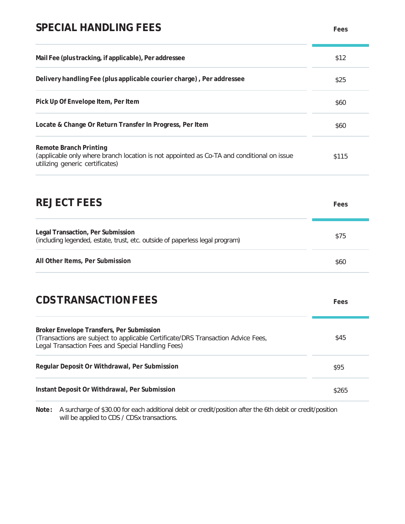# **SPECIAL HANDLING FEES Fees**

| Mail Fee (plus tracking, if applicable), Per addressee                                                                                                                             | \$12  |
|------------------------------------------------------------------------------------------------------------------------------------------------------------------------------------|-------|
| Delivery handling Fee (plus applicable courier charge), Per addressee                                                                                                              | \$25  |
| Pick Up Of Envelope Item, Per Item                                                                                                                                                 | \$60  |
| Locate & Change Or Return Transfer In Progress, Per Item                                                                                                                           | \$60  |
| <b>Remote Branch Printing</b><br>(applicable only where branch location is not appointed as Co-TA and conditional on issue<br>utilizing generic certificates)                      | \$115 |
| <b>REJECT FEES</b>                                                                                                                                                                 | Fees  |
| Legal Transaction, Per Submission<br>(including legended, estate, trust, etc. outside of paperless legal program)                                                                  | \$75  |
| All Other Items, Per Submission                                                                                                                                                    | \$60  |
| <b>CDS TRANSACTION FEES</b>                                                                                                                                                        | Fees  |
| Broker Envelope Transfers, Per Submission<br>(Transactions are subject to applicable Certificate/DRS Transaction Advice Fees,<br>Legal Transaction Fees and Special Handling Fees) | \$45  |
| Regular Deposit Or Withdrawal, Per Submission                                                                                                                                      | \$95  |
| Instant Deposit Or Withdrawal, Per Submission                                                                                                                                      | \$265 |

**Note :** A surcharge of \$30.00 for each additional debit or credit/position after the 6th debit or credit/position will be applied to CDS / CDSx transactions.